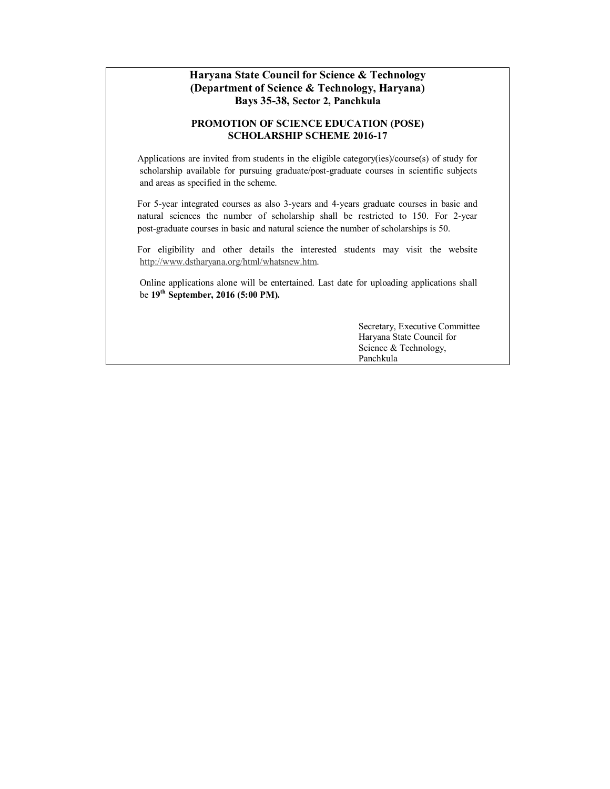#### **Haryana State Council for Science & Technology (Department of Science & Technology, Haryana) Bays 35-38, Sector 2, Panchkula**

#### **PROMOTION OF SCIENCE EDUCATION (POSE) SCHOLARSHIP SCHEME 2016-17**

Applications are invited from students in the eligible category(ies)/course(s) of study for scholarship available for pursuing graduate/post-graduate courses in scientific subjects and areas as specified in the scheme.

For 5-year integrated courses as also 3-years and 4-years graduate courses in basic and natural sciences the number of scholarship shall be restricted to 150. For 2-year post-graduate courses in basic and natural science the number of scholarships is 50.

For eligibility and other details the interested students may visit the website http://www.dstharyana.org/html/whatsnew.htm.

 [Online applications alone will be entertained. L](http://www.dstharyana.org/html/whatsnew.htm)ast date for uploading applications shall be **19th September, 2016 (5:00 PM).**

> Secretary, Executive Committee Haryana State Council for Science & Technology, Panchkula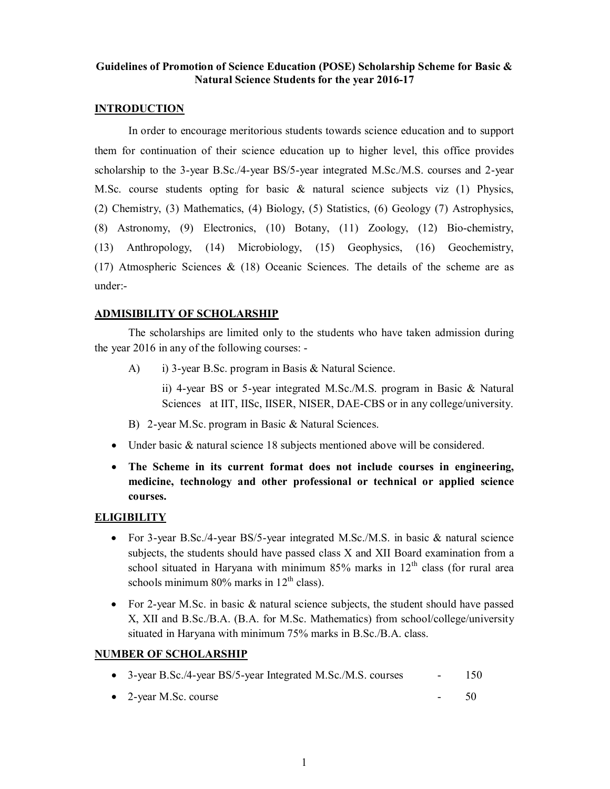#### **Guidelines of Promotion of Science Education (POSE) Scholarship Scheme for Basic & Natural Science Students for the year 2016-17**

#### **INTRODUCTION**

In order to encourage meritorious students towards science education and to support them for continuation of their science education up to higher level, this office provides scholarship to the 3-year B.Sc./4-year BS/5-year integrated M.Sc./M.S. courses and 2-year M.Sc. course students opting for basic  $\&$  natural science subjects viz (1) Physics, (2) Chemistry, (3) Mathematics, (4) Biology, (5) Statistics, (6) Geology (7) Astrophysics, (8) Astronomy, (9) Electronics, (10) Botany, (11) Zoology, (12) Bio-chemistry, (13) Anthropology, (14) Microbiology, (15) Geophysics, (16) Geochemistry, (17) Atmospheric Sciences & (18) Oceanic Sciences. The details of the scheme are as under:-

#### **ADMISIBILITY OF SCHOLARSHIP**

The scholarships are limited only to the students who have taken admission during the year 2016 in any of the following courses: -

A) i) 3-year B.Sc. program in Basis & Natural Science.

ii) 4-year BS or 5-year integrated M.Sc./M.S. program in Basic & Natural Sciences at IIT, IISc, IISER, NISER, DAE-CBS or in any college/university.

- B) 2-year M.Sc. program in Basic & Natural Sciences.
- Under basic & natural science 18 subjects mentioned above will be considered.
- · **The Scheme in its current format does not include courses in engineering, medicine, technology and other professional or technical or applied science courses.**

## **ELIGIBILITY**

- For 3-year B.Sc./4-year BS/5-year integrated M.Sc./M.S. in basic & natural science subjects, the students should have passed class X and XII Board examination from a school situated in Haryana with minimum 85% marks in  $12<sup>th</sup>$  class (for rural area schools minimum  $80\%$  marks in  $12<sup>th</sup>$  class).
- For 2-year M.Sc. in basic & natural science subjects, the student should have passed X, XII and B.Sc./B.A. (B.A. for M.Sc. Mathematics) from school/college/university situated in Haryana with minimum 75% marks in B.Sc./B.A. class.

## **NUMBER OF SCHOLARSHIP**

| • 3-year B.Sc./4-year BS/5-year Integrated M.Sc./M.S. courses | 150 |
|---------------------------------------------------------------|-----|
|                                                               |     |

2-year M.Sc. course  $\sim$  50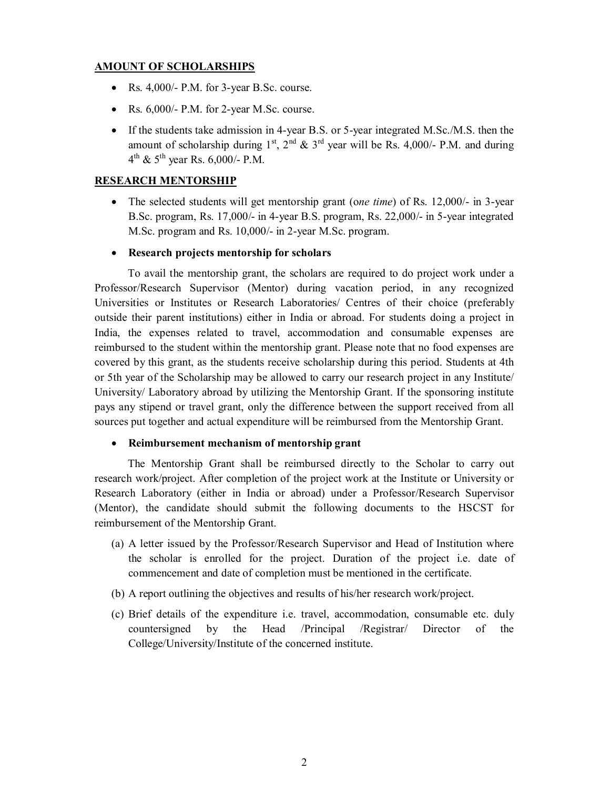#### **AMOUNT OF SCHOLARSHIPS**

- Rs.  $4,000/-$  P.M. for 3-year B.Sc. course.
- Rs.  $6,000$ /- P.M. for 2-year M.Sc. course.
- · If the students take admission in 4-year B.S. or 5-year integrated M.Sc./M.S. then the amount of scholarship during  $1^{st}$ ,  $2^{nd}$  &  $3^{rd}$  year will be Rs. 4,000/- P.M. and during  $4^{th}$  &  $5^{th}$  year Rs. 6,000/- P.M.

## **RESEARCH MENTORSHIP**

- · The selected students will get mentorship grant (o*ne time*) of Rs. 12,000/- in 3-year B.Sc. program, Rs. 17,000/- in 4-year B.S. program, Rs. 22,000/- in 5-year integrated M.Sc. program and Rs. 10,000/- in 2-year M.Sc. program.
- · **Research projects mentorship for scholars**

To avail the mentorship grant, the scholars are required to do project work under a Professor/Research Supervisor (Mentor) during vacation period, in any recognized Universities or Institutes or Research Laboratories/ Centres of their choice (preferably outside their parent institutions) either in India or abroad. For students doing a project in India, the expenses related to travel, accommodation and consumable expenses are reimbursed to the student within the mentorship grant. Please note that no food expenses are covered by this grant, as the students receive scholarship during this period. Students at 4th or 5th year of the Scholarship may be allowed to carry our research project in any Institute/ University/ Laboratory abroad by utilizing the Mentorship Grant. If the sponsoring institute pays any stipend or travel grant, only the difference between the support received from all sources put together and actual expenditure will be reimbursed from the Mentorship Grant.

#### · **Reimbursement mechanism of mentorship grant**

The Mentorship Grant shall be reimbursed directly to the Scholar to carry out research work/project. After completion of the project work at the Institute or University or Research Laboratory (either in India or abroad) under a Professor/Research Supervisor (Mentor), the candidate should submit the following documents to the HSCST for reimbursement of the Mentorship Grant.

- (a) A letter issued by the Professor/Research Supervisor and Head of Institution where the scholar is enrolled for the project. Duration of the project i.e. date of commencement and date of completion must be mentioned in the certificate.
- (b) A report outlining the objectives and results of his/her research work/project.
- (c) Brief details of the expenditure i.e. travel, accommodation, consumable etc. duly countersigned by the Head /Principal /Registrar/ Director of the College/University/Institute of the concerned institute.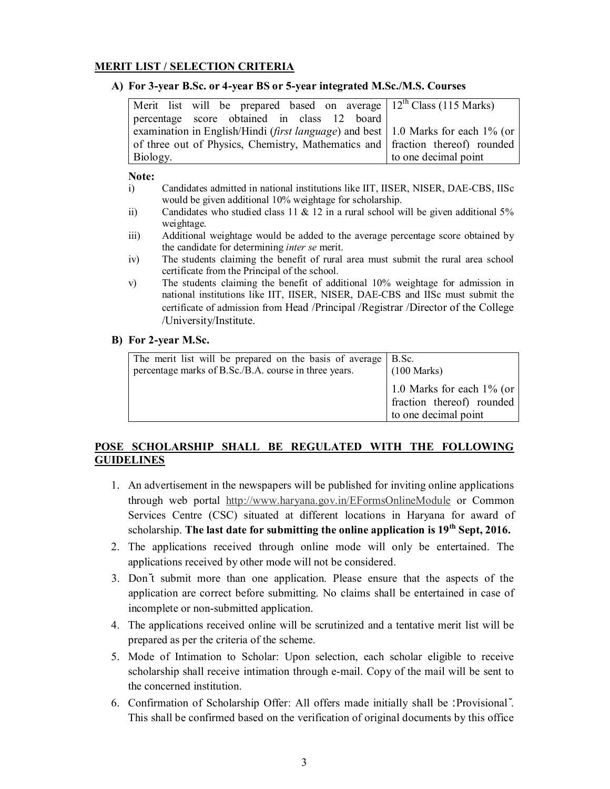#### **MERIT LIST / SELECTION CRITERIA**

#### **A) For 3-year B.Sc. or 4-year BS or 5-year integrated M.Sc./M.S. Courses**

| Merit list will be prepared based on average $12th Class (115 Marks)$                     |                      |
|-------------------------------------------------------------------------------------------|----------------------|
| percentage score obtained in class 12 board                                               |                      |
| examination in English/Hindi ( <i>first language</i> ) and best 1.0 Marks for each 1% (or |                      |
| of three out of Physics, Chemistry, Mathematics and fraction thereof) rounded             |                      |
| Biology.                                                                                  | to one decimal point |

#### **Note:**

- i) Candidates admitted in national institutions like IIT, IISER, NISER, DAE-CBS, IISc would be given additional 10% weightage for scholarship.
- ii) Candidates who studied class 11  $\&$  12 in a rural school will be given additional 5% weightage.
- iii) Additional weightage would be added to the average percentage score obtained by the candidate for determining *inter se* merit.
- iv) The students claiming the benefit of rural area must submit the rural area school certificate from the Principal of the school.
- v) The students claiming the benefit of additional 10% weightage for admission in national institutions like IIT, IISER, NISER, DAE-CBS and IISc must submit the certificate of admission from Head /Principal /Registrar /Director of the College /University/Institute.

#### **B) For 2-year M.Sc.**

| The merit list will be prepared on the basis of average   B.Sc.<br>percentage marks of B.Sc./B.A. course in three years. | $(100 \text{ Marks})$                                                             |
|--------------------------------------------------------------------------------------------------------------------------|-----------------------------------------------------------------------------------|
|                                                                                                                          | 1.0 Marks for each $1\%$ (or<br>fraction thereof) rounded<br>to one decimal point |

## **POSE SCHOLARSHIP SHALL BE REGULATED WITH THE FOLLOWING GUIDELINES**

- 1. An advertisement in the newspapers will be published for inviting online applications through web portal http://www.haryana.gov.in/EFormsOnlineModule or Common Services Centre (CSC) situated at different locations in Haryana for award of scholarship. **The l[ast date for submitting the online application is 19](http://www.haryana.gov.in/EFormsOnlineModule/index.action?submissionType=1&request_locale=en)th Sept, 2016.**
- 2. The applications received through online mode will only be entertained. The applications received by other mode will not be considered.
- 3. Don't submit more than one application. Please ensure that the aspects of the application are correct before submitting. No claims shall be entertained in case of incomplete or non-submitted application.
- 4. The applications received online will be scrutinized and a tentative merit list will be prepared as per the criteria of the scheme.
- 5. Mode of Intimation to Scholar: Upon selection, each scholar eligible to receive scholarship shall receive intimation through e-mail. Copy of the mail will be sent to the concerned institution.
- 6. Confirmation of Scholarship Offer: All offers made initially shall be 'Provisional'. This shall be confirmed based on the verification of original documents by this office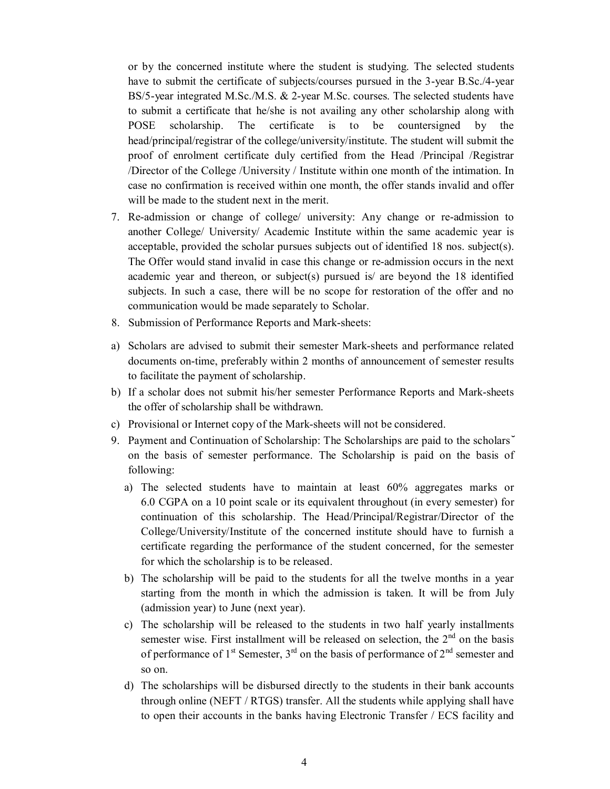or by the concerned institute where the student is studying. The selected students have to submit the certificate of subjects/courses pursued in the 3-year B.Sc./4-year BS/5-year integrated M.Sc./M.S. & 2-year M.Sc. courses. The selected students have to submit a certificate that he/she is not availing any other scholarship along with POSE scholarship. The certificate is to be countersigned by the head/principal/registrar of the college/university/institute. The student will submit the proof of enrolment certificate duly certified from the Head /Principal /Registrar /Director of the College /University / Institute within one month of the intimation. In case no confirmation is received within one month, the offer stands invalid and offer will be made to the student next in the merit.

- 7. Re-admission or change of college/ university: Any change or re-admission to another College/ University/ Academic Institute within the same academic year is acceptable, provided the scholar pursues subjects out of identified 18 nos. subject(s). The Offer would stand invalid in case this change or re-admission occurs in the next academic year and thereon, or subject(s) pursued is/ are beyond the 18 identified subjects. In such a case, there will be no scope for restoration of the offer and no communication would be made separately to Scholar.
- 8. Submission of Performance Reports and Mark-sheets:
- a) Scholars are advised to submit their semester Mark-sheets and performance related documents on-time, preferably within 2 months of announcement of semester results to facilitate the payment of scholarship.
- b) If a scholar does not submit his/her semester Performance Reports and Mark-sheets the offer of scholarship shall be withdrawn.
- c) Provisional or Internet copy of the Mark-sheets will not be considered.
- 9. Payment and Continuation of Scholarship: The Scholarships are paid to the scholars' on the basis of semester performance. The Scholarship is paid on the basis of following:
	- a) The selected students have to maintain at least 60% aggregates marks or 6.0 CGPA on a 10 point scale or its equivalent throughout (in every semester) for continuation of this scholarship. The Head/Principal/Registrar/Director of the College/University/Institute of the concerned institute should have to furnish a certificate regarding the performance of the student concerned, for the semester for which the scholarship is to be released.
	- b) The scholarship will be paid to the students for all the twelve months in a year starting from the month in which the admission is taken. It will be from July (admission year) to June (next year).
	- c) The scholarship will be released to the students in two half yearly installments semester wise. First installment will be released on selection, the  $2<sup>nd</sup>$  on the basis of performance of  $1<sup>st</sup>$  Semester,  $3<sup>rd</sup>$  on the basis of performance of  $2<sup>nd</sup>$  semester and so on.
	- d) The scholarships will be disbursed directly to the students in their bank accounts through online (NEFT / RTGS) transfer. All the students while applying shall have to open their accounts in the banks having Electronic Transfer / ECS facility and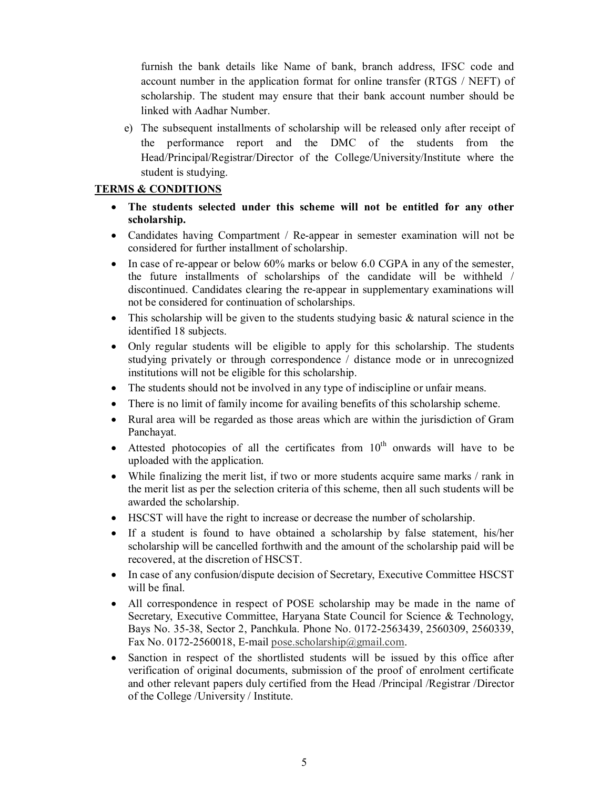furnish the bank details like Name of bank, branch address, IFSC code and account number in the application format for online transfer (RTGS / NEFT) of scholarship. The student may ensure that their bank account number should be linked with Aadhar Number.

e) The subsequent installments of scholarship will be released only after receipt of the performance report and the DMC of the students from the Head/Principal/Registrar/Director of the College/University/Institute where the student is studying.

## **TERMS & CONDITIONS**

- · **The students selected under this scheme will not be entitled for any other scholarship.**
- · Candidates having Compartment / Re-appear in semester examination will not be considered for further installment of scholarship.
- In case of re-appear or below 60% marks or below 6.0 CGPA in any of the semester, the future installments of scholarships of the candidate will be withheld / discontinued. Candidates clearing the re-appear in supplementary examinations will not be considered for continuation of scholarships.
- This scholarship will be given to the students studying basic  $\&$  natural science in the identified 18 subjects.
- · Only regular students will be eligible to apply for this scholarship. The students studying privately or through correspondence / distance mode or in unrecognized institutions will not be eligible for this scholarship.
- · The students should not be involved in any type of indiscipline or unfair means.
- There is no limit of family income for availing benefits of this scholarship scheme.
- · Rural area will be regarded as those areas which are within the jurisdiction of Gram Panchayat.
- Attested photocopies of all the certificates from  $10<sup>th</sup>$  onwards will have to be uploaded with the application.
- · While finalizing the merit list, if two or more students acquire same marks / rank in the merit list as per the selection criteria of this scheme, then all such students will be awarded the scholarship.
- · HSCST will have the right to increase or decrease the number of scholarship.
- · If a student is found to have obtained a scholarship by false statement, his/her scholarship will be cancelled forthwith and the amount of the scholarship paid will be recovered, at the discretion of HSCST.
- · In case of any confusion/dispute decision of Secretary, Executive Committee HSCST will be final.
- · All correspondence in respect of POSE scholarship may be made in the name of Secretary, Executive Committee, Haryana State Council for Science & Technology, Bays No. 35-38, Sector 2, Panchkula. Phone No. 0172-2563439, 2560309, 2560339, Fax No. 0172-2560018, E-mail pose.scholarship@gmail.com.
- Sanction in respect of the shortlisted students will be issued by this office after verification of original documents, submission of the proof of enrolment certificate and other relevant papers dul[y certified from the Head /Prin](mailto:pose.scholarship@gmail.com)cipal /Registrar /Director of the College /University / Institute.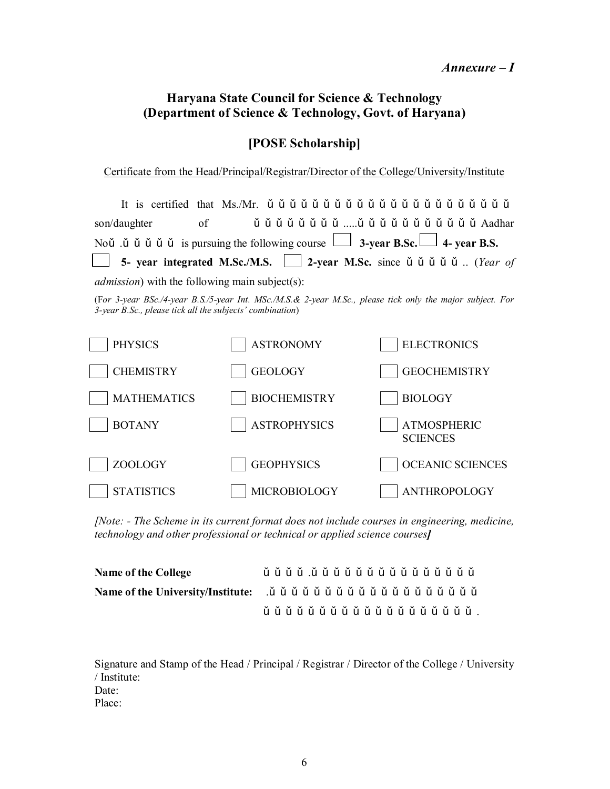# **Haryana State Council for Science & Technology (Department of Science & Technology, Govt. of Haryana)**

# **[POSE Scholarship]**

Certificate from the Head/Principal/Registrar/Director of the College/University/Institute

| Noù $\check{u}$ $\check{u}$ $\check{u}$ $\check{u}$ is pursuing the following course $\Box$ 3-year B.S.                 |  |  |  |  |  |  |  |  |  |  |  |  |  |  |  |  |
|-------------------------------------------------------------------------------------------------------------------------|--|--|--|--|--|--|--|--|--|--|--|--|--|--|--|--|
| 5- year integrated M.Sc./M.S. 2-year M.Sc. since $\check{u}$ $\check{u}$ $\check{u}$ $\check{u}$ $\check{u}$ . (Year of |  |  |  |  |  |  |  |  |  |  |  |  |  |  |  |  |
|                                                                                                                         |  |  |  |  |  |  |  |  |  |  |  |  |  |  |  |  |

*admission*) with the following main subject(s):

(F*or 3-year BSc./4-year B.S./5-year Int. MSc./M.S.& 2-year M.Sc., please tick only the major subject. For 3-year B.Sc., please tick all the subjects' combination*)



*[Note: - The Scheme in its current format does not include courses in engineering, medicine, technology and other professional or technical or applied science courses]* 

| <b>Name of the College</b> | ù ǔ ǔ ǔ .ǔ ǔ ǔ ǔ ǔ ǔ ǔ ǔ ǔ ǔ ǔ ǔ ǔ ǔ ǔ |  |
|----------------------------|----------------------------------------|--|
|                            |                                        |  |
|                            | ů ů ů ů ů ů ů ů ů ů ů ů ů ů ů ů ů ů .  |  |

Signature and Stamp of the Head / Principal / Registrar / Director of the College / University / Institute: Date: Place: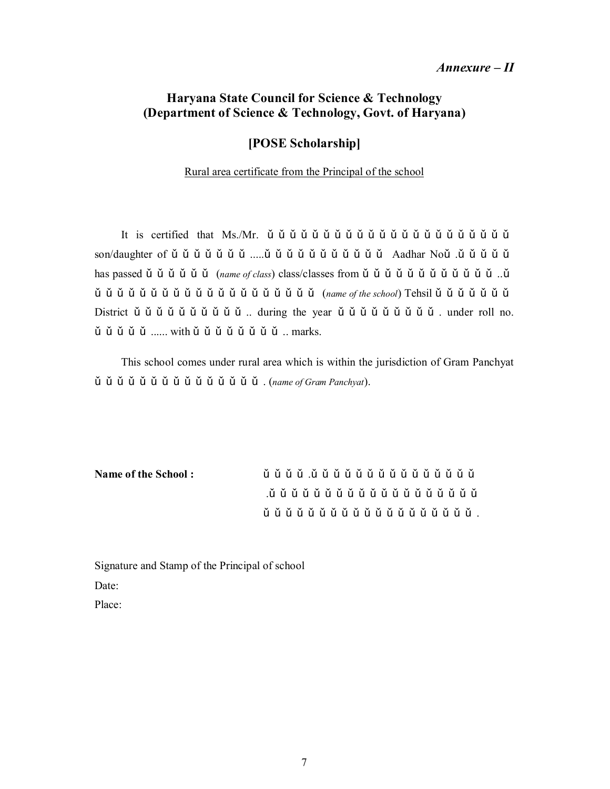# *Annexure – II*

# **Haryana State Council for Science & Technology (Department of Science & Technology, Govt. of Haryana)**

## **[POSE Scholarship]**

#### Rural area certificate from the Principal of the school

It is certified that  $Ms/Mr$ .  $\check{u}$   $\check{u}$   $\check{u}$   $\check{u}$   $\check{u}$   $\check{u}$   $\check{u}$   $\check{u}$   $\check{u}$   $\check{u}$   $\check{u}$   $\check{u}$   $\check{u}$   $\check{u}$   $\check{u}$   $\check{u}$   $\check{u}$   $\check{u}$   $\check{u}$   $\check{u}$   $\check{u}$   $\check{u}$   $\check{u}$   $\check{u}$  son/daughter of … … … … … … … .....… … … … … … … … … … … Aadhar No… .… … … … … has passed ǔ ǔ ǔ ǔ ǔ ǔ *(name of class*) class/classes from ǔ ǔ ǔ ǔ ǔ ǔ ǔ ǔ ǔ ǔ ǔ ǔ *…* ǔ  $\check{u}$   $\check{u}$   $\check{u}$   $\check{u}$   $\check{u}$   $\check{u}$   $\check{u}$   $\check{u}$   $\check{u}$   $\check{u}$   $\check{u}$   $\check{u}$   $\check{u}$   $\check{u}$   $\check{u}$   $\check{u}$   $\check{u}$   $\check{u}$   $\check{u}$   $\check{u}$   $\check{u}$   $\check{u}$   $\check{u}$   $\check{u}$   $\check{u}$   $\check{u}$   $\check{u}$   $\check{u$ District ǔ ǔ ǔ ǔ ǔ ǔ ǔ ǔ ǔ ǔ … during the year ǔ ǔ ǔ ǔ ǔ ǔ ǔ ǔ ǔ . under roll no.  $\check{u}$   $\check{u}$   $\check{u}$   $\check{u}$   $\ldots$  with  $\check{u}$   $\check{u}$   $\check{u}$   $\check{u}$   $\check{u}$   $\check{u}$   $\ddot{u}$   $\ldots$  marks.

This school comes under rural area which is within the jurisdiction of Gram Panchyat … … … … … … … … … … … … … … … . (*name of Gram Panchyat*).

| Name of the School: |  |  |  |  |  | ǔ ǔ ǔ ǔ .ǔ ǔ ǔ ǔ ǔ ǔ ǔ ǔ ǔ ǔ ǔ ǔ ǔ ǔ ǔ |  |  |  |  |  |  |
|---------------------|--|--|--|--|--|----------------------------------------|--|--|--|--|--|--|
|                     |  |  |  |  |  |                                        |  |  |  |  |  |  |
|                     |  |  |  |  |  |                                        |  |  |  |  |  |  |

Signature and Stamp of the Principal of school Date: Place: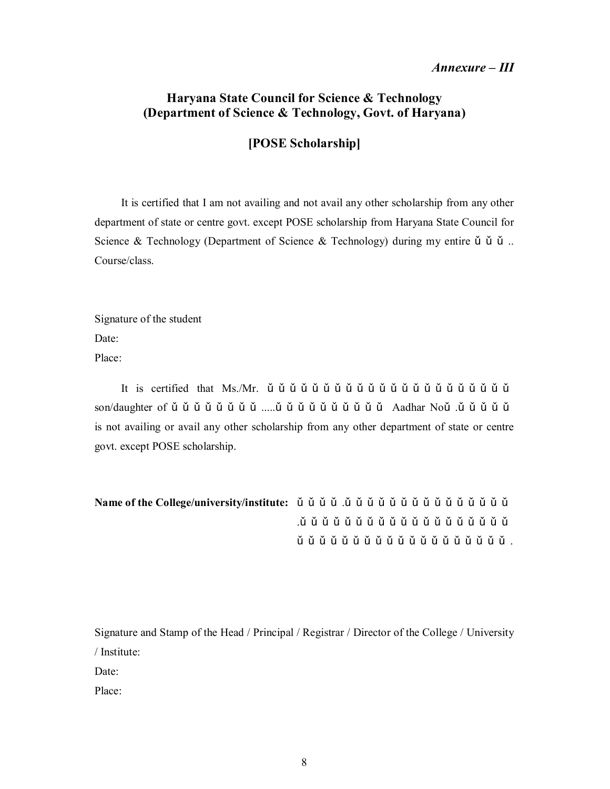## *Annexure – III*

# **Haryana State Council for Science & Technology (Department of Science & Technology, Govt. of Haryana)**

**[POSE Scholarship]** 

It is certified that I am not availing and not avail any other scholarship from any other department of state or centre govt. except POSE scholarship from Haryana State Council for Science & Technology (Department of Science & Technology) during my entire  $\check{u}$   $\check{u}$  ... Course/class.

Signature of the student Date: Place:

It is certified that  $Ms/Mr$ .  $\check{u}$   $\check{u}$   $\check{u}$   $\check{u}$   $\check{u}$   $\check{u}$   $\check{u}$   $\check{u}$   $\check{u}$   $\check{u}$   $\check{u}$   $\check{u}$   $\check{u}$   $\check{u}$   $\check{u}$   $\check{u}$   $\check{u}$   $\check{u}$   $\check{u}$   $\check{u}$   $\check{u}$   $\check{u}$   $\check{u}$   $\check{u}$  son/daughter of … … … … … … … … .....… … … … … … … … … … Aadhar No… .… … … … … is not availing or avail any other scholarship from any other department of state or centre govt. except POSE scholarship.

**Name of the College/university/institute:** … … … … .… … … … … … … … … … … … … … … .… … … … … … … … … … … … … … … … … … … … … … … … … … … … … … … … … … … … … … .

Signature and Stamp of the Head / Principal / Registrar / Director of the College / University / Institute: Date:

Place: